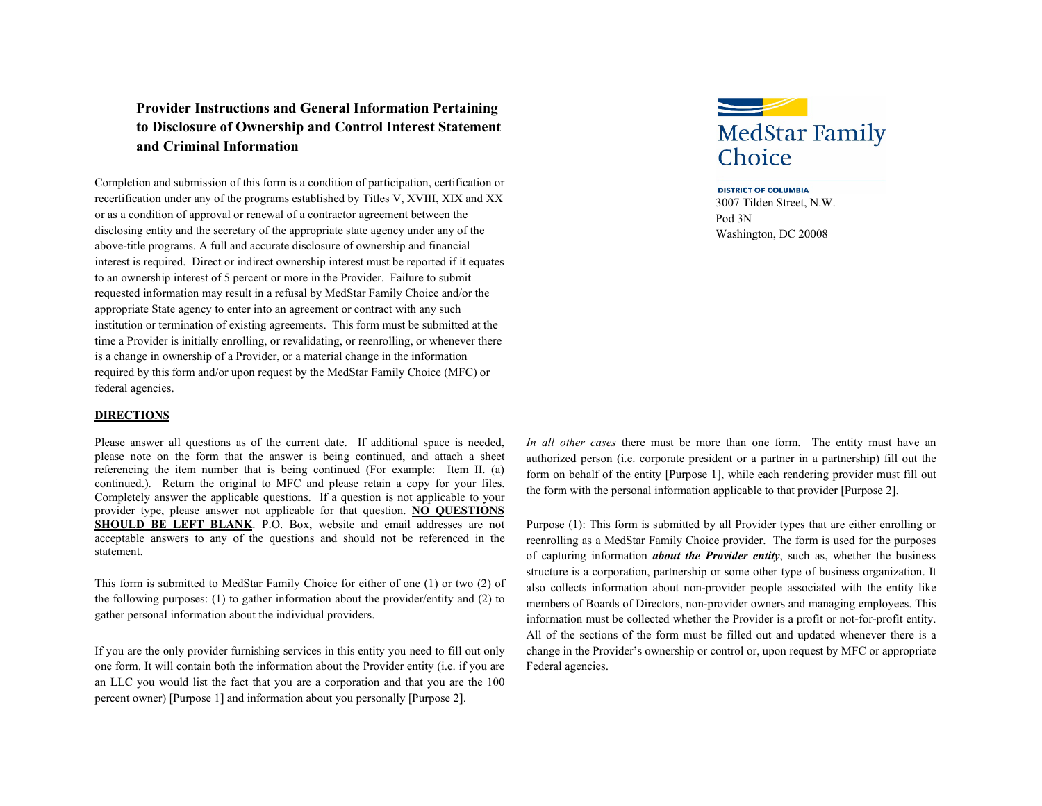# **Provider Instructions and General Information Pertaining to Disclosure of Ownership and Control Interest Statement and Criminal Information**

Completion and submission of this form is a condition of participation, certification or recertification under any of the programs established by Titles V, XVIII, XIX and XX or as a condition of approval or renewal of a contractor agreement between the disclosing entity and the secretary of the appropriate state agency under any of the above-title programs. A full and accurate disclosure of ownership and financial interest is required. Direct or indirect ownership interest must be reported if it equates to an ownership interest of 5 percent or more in the Provider. Failure to submit requested information may result in a refusal by MedStar Family Choice and/or the appropriate State agency to enter into an agreement or contract with any such institution or termination of existing agreements. This form must be submitted at the time a Provider is initially enrolling, or revalidating, or reenrolling, or whenever there is a change in ownership of a Provider, or a material change in the information required by this form and/or upon request by the MedStar Family Choice (MFC) or federal agencies.

#### **DIRECTIONS**

Please answer all questions as of the current date. If additional space is needed, please note on the form that the answer is being continued, and attach a sheet referencing the item number that is being continued (For example: Item II. (a) continued.). Return the original to MFC and please retain a copy for your files. Completely answer the applicable questions. If a question is not applicable to your provider type, please answer not applicable for that question. **NO QUESTIONS SHOULD BE LEFT BLANK**. P.O. Box, website and email addresses are not acceptable answers to any of the questions and should not be referenced in the statement.

This form is submitted to MedStar Family Choice for either of one (1) or two (2) of the following purposes: (1) to gather information about the provider/entity and (2) to gather personal information about the individual providers.

If you are the only provider furnishing services in this entity you need to fill out only one form. It will contain both the information about the Provider entity (i.e. if you are an LLC you would list the fact that you are a corporation and that you are the 100 percent owner) [Purpose 1] and information about you personally [Purpose 2].



**DISTRICT OF COLUMBIA** 3007 Tilden Street, N.W. Pod 3N Washington, DC 20008

*In all other cases* there must be more than one form. The entity must have an authorized person (i.e. corporate president or a partner in a partnership) fill out the form on behalf of the entity [Purpose 1], while each rendering provider must fill out the form with the personal information applicable to that provider [Purpose 2].

Purpose (1): This form is submitted by all Provider types that are either enrolling or reenrolling as a MedStar Family Choice provider. The form is used for the purposes of capturing information *about the Provider entity*, such as, whether the business structure is a corporation, partnership or some other type of business organization. It also collects information about non-provider people associated with the entity like members of Boards of Directors, non-provider owners and managing employees. This information must be collected whether the Provider is a profit or not-for-profit entity. All of the sections of the form must be filled out and updated whenever there is a change in the Provider's ownership or control or, upon request by MFC or appropriate Federal agencies.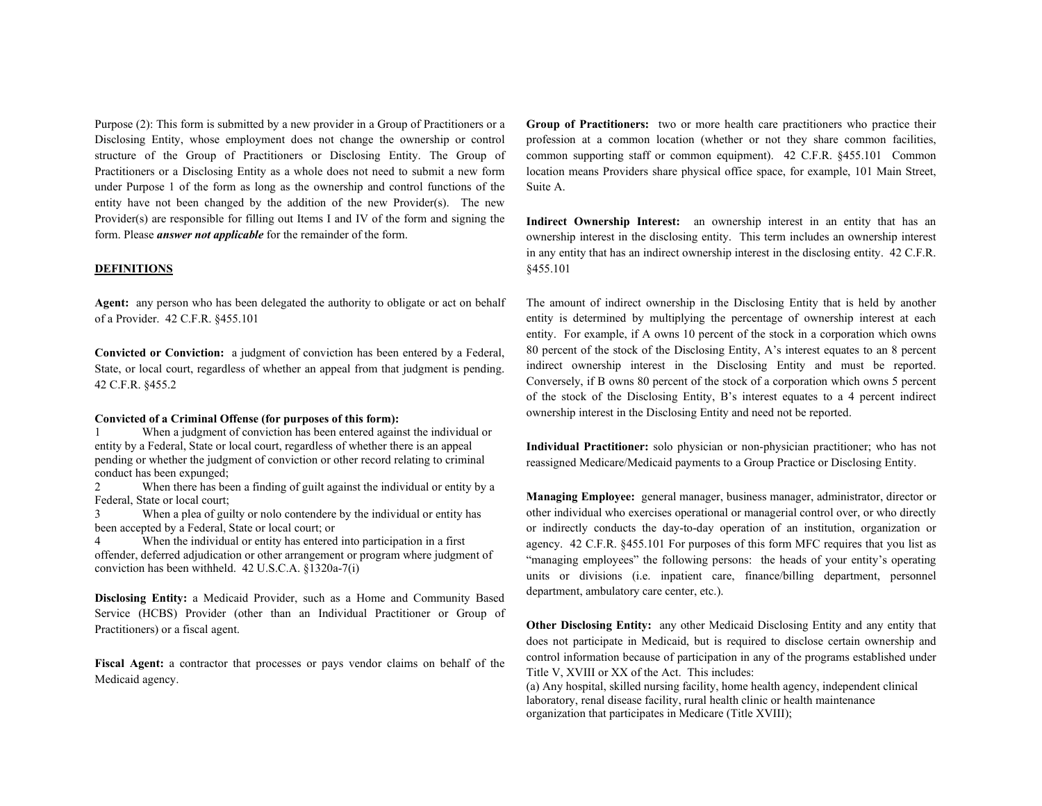Purpose (2): This form is submitted by a new provider in a Group of Practitioners or a Disclosing Entity, whose employment does not change the ownership or control structure of the Group of Practitioners or Disclosing Entity. The Group of Practitioners or a Disclosing Entity as a whole does not need to submit a new form under Purpose 1 of the form as long as the ownership and control functions of the entity have not been changed by the addition of the new Provider(s). The new Provider(s) are responsible for filling out Items I and IV of the form and signing the form. Please *answer not applicable* for the remainder of the form.

#### **DEFINITIONS**

**Agent:** any person who has been delegated the authority to obligate or act on behalf of a Provider. 42 C.F.R. §455.101

**Convicted or Conviction:** a judgment of conviction has been entered by a Federal, State, or local court, regardless of whether an appeal from that judgment is pending. 42 C.F.R. §455.2

#### **Convicted of a Criminal Offense (for purposes of this form):**

When a judgment of conviction has been entered against the individual or entity by a Federal, State or local court, regardless of whether there is an appeal pending or whether the judgment of conviction or other record relating to criminal conduct has been expunged;

2 When there has been a finding of guilt against the individual or entity by a Federal, State or local court;

3 When a plea of guilty or nolo contendere by the individual or entity has been accepted by a Federal, State or local court; or

When the individual or entity has entered into participation in a first offender, deferred adjudication or other arrangement or program where judgment of conviction has been withheld. 42 U.S.C.A. §1320a-7(i)

**Disclosing Entity:** a Medicaid Provider, such as a Home and Community Based Service (HCBS) Provider (other than an Individual Practitioner or Group of Practitioners) or a fiscal agent.

**Fiscal Agent:** a contractor that processes or pays vendor claims on behalf of the Medicaid agency.

**Group of Practitioners:** two or more health care practitioners who practice their profession at a common location (whether or not they share common facilities, common supporting staff or common equipment). 42 C.F.R. §455.101 Common location means Providers share physical office space, for example, 101 Main Street, Suite A.

Indirect Ownership Interest: an ownership interest in an entity that has an ownership interest in the disclosing entity. This term includes an ownership interest in any entity that has an indirect ownership interest in the disclosing entity. 42 C.F.R. §455.101

The amount of indirect ownership in the Disclosing Entity that is held by another entity is determined by multiplying the percentage of ownership interest at each entity. For example, if A owns 10 percent of the stock in a corporation which owns 80 percent of the stock of the Disclosing Entity, A's interest equates to an 8 percent indirect ownership interest in the Disclosing Entity and must be reported. Conversely, if B owns 80 percent of the stock of a corporation which owns 5 percent of the stock of the Disclosing Entity, B's interest equates to a 4 percent indirect ownership interest in the Disclosing Entity and need not be reported.

**Individual Practitioner:** solo physician or non-physician practitioner; who has not reassigned Medicare/Medicaid payments to a Group Practice or Disclosing Entity.

**Managing Employee:** general manager, business manager, administrator, director or other individual who exercises operational or managerial control over, or who directly or indirectly conducts the day-to-day operation of an institution, organization or agency. 42 C.F.R. §455.101 For purposes of this form MFC requires that you list as "managing employees" the following persons: the heads of your entity's operating units or divisions (i.e. inpatient care, finance/billing department, personnel department, ambulatory care center, etc.).

**Other Disclosing Entity:** any other Medicaid Disclosing Entity and any entity that does not participate in Medicaid, but is required to disclose certain ownership and control information because of participation in any of the programs established under Title V, XVIII or XX of the Act. This includes:

(a) Any hospital, skilled nursing facility, home health agency, independent clinical laboratory, renal disease facility, rural health clinic or health maintenance organization that participates in Medicare (Title XVIII);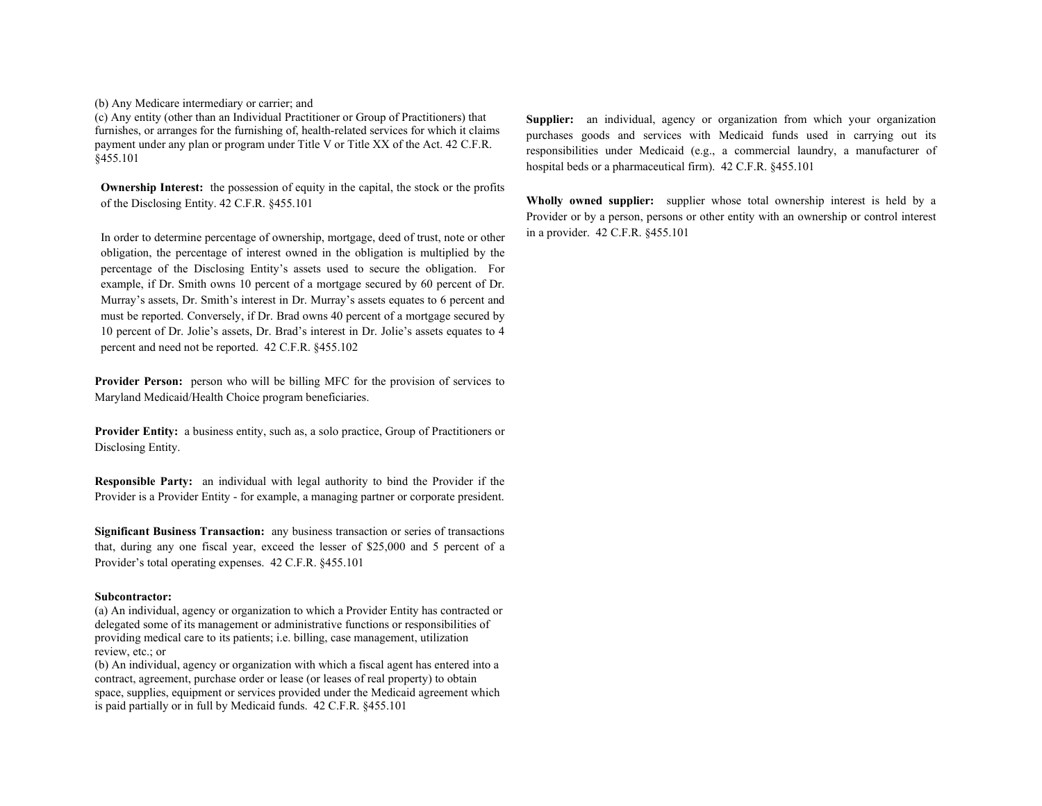(b) Any Medicare intermediary or carrier; and

(c) Any entity (other than an Individual Practitioner or Group of Practitioners) that furnishes, or arranges for the furnishing of, health-related services for which it claims payment under any plan or program under Title V or Title XX of the Act. 42 C.F.R. §455.101

**Ownership Interest:** the possession of equity in the capital, the stock or the profits of the Disclosing Entity. 42 C.F.R. §455.101

In order to determine percentage of ownership, mortgage, deed of trust, note or other obligation, the percentage of interest owned in the obligation is multiplied by the percentage of the Disclosing Entity's assets used to secure the obligation. For example, if Dr. Smith owns 10 percent of a mortgage secured by 60 percent of Dr. Murray's assets, Dr. Smith's interest in Dr. Murray's assets equates to 6 percent and must be reported. Conversely, if Dr. Brad owns 40 percent of a mortgage secured by 10 percent of Dr. Jolie's assets, Dr. Brad's interest in Dr. Jolie's assets equates to 4 percent and need not be reported. 42 C.F.R. §455.102

**Provider Person:** person who will be billing MFC for the provision of services to Maryland Medicaid/Health Choice program beneficiaries.

**Provider Entity:** a business entity, such as, a solo practice, Group of Practitioners or Disclosing Entity.

**Responsible Party:** an individual with legal authority to bind the Provider if the Provider is a Provider Entity - for example, a managing partner or corporate president.

**Significant Business Transaction:** any business transaction or series of transactions that, during any one fiscal year, exceed the lesser of \$25,000 and 5 percent of a Provider's total operating expenses. 42 C.F.R. §455.101

#### **Subcontractor:**

(a) An individual, agency or organization to which a Provider Entity has contracted or delegated some of its management or administrative functions or responsibilities of providing medical care to its patients; i.e. billing, case management, utilization review, etc.; or

(b) An individual, agency or organization with which a fiscal agent has entered into a contract, agreement, purchase order or lease (or leases of real property) to obtain space, supplies, equipment or services provided under the Medicaid agreement which is paid partially or in full by Medicaid funds. 42 C.F.R. §455.101

**Supplier:** an individual, agency or organization from which your organization purchases goods and services with Medicaid funds used in carrying out its responsibilities under Medicaid (e.g., a commercial laundry, a manufacturer of hospital beds or a pharmaceutical firm). 42 C.F.R. §455.101

**Wholly owned supplier:** supplier whose total ownership interest is held by a Provider or by a person, persons or other entity with an ownership or control interest in a provider. 42 C.F.R. §455.101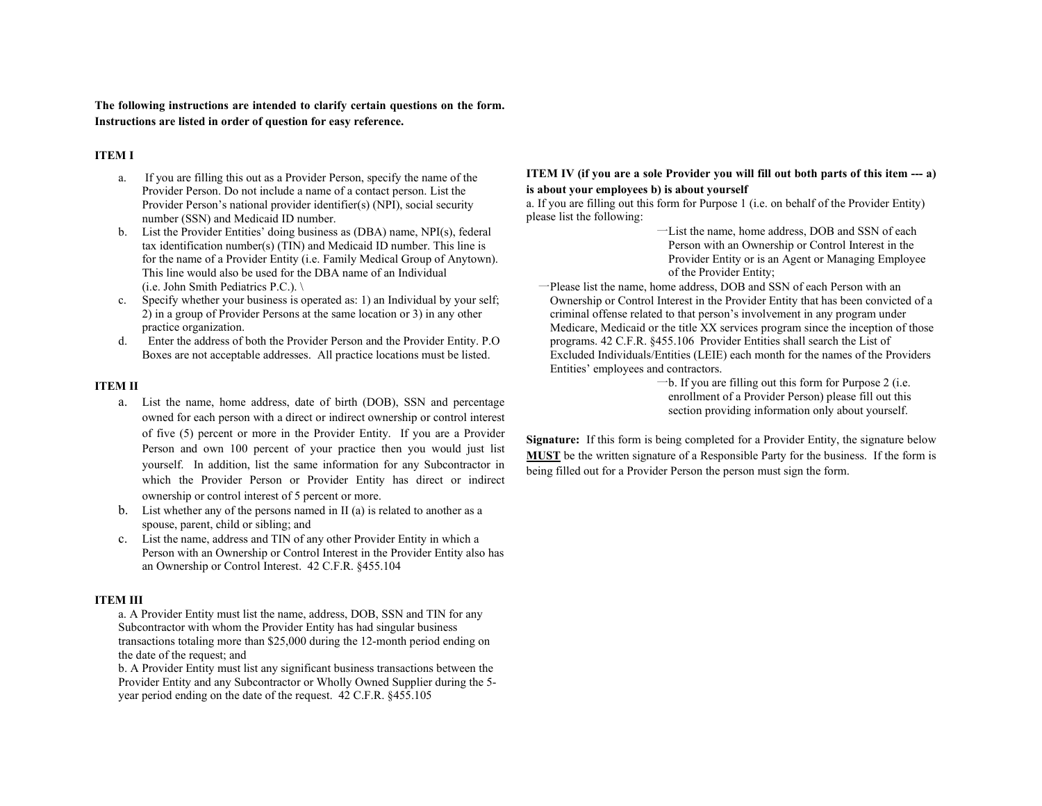**The following instructions are intended to clarify certain questions on the form. Instructions are listed in order of question for easy reference.** 

### **ITEM I**

- a. If you are filling this out as a Provider Person, specify the name of the Provider Person. Do not include a name of a contact person. List the Provider Person's national provider identifier(s) (NPI), social security number (SSN) and Medicaid ID number.
- b. List the Provider Entities' doing business as (DBA) name, NPI(s), federal tax identification number(s) (TIN) and Medicaid ID number. This line is for the name of a Provider Entity (i.e. Family Medical Group of Anytown). This line would also be used for the DBA name of an Individual (i.e. John Smith Pediatrics P.C.). \
- c. Specify whether your business is operated as: 1) an Individual by your self; 2) in a group of Provider Persons at the same location or 3) in any other practice organization.
- d. Enter the address of both the Provider Person and the Provider Entity. P.O Boxes are not acceptable addresses. All practice locations must be listed.

### **ITEM II**

- a. List the name, home address, date of birth (DOB), SSN and percentage owned for each person with a direct or indirect ownership or control interest of five (5) percent or more in the Provider Entity. If you are a Provider Person and own 100 percent of your practice then you would just list yourself. In addition, list the same information for any Subcontractor in which the Provider Person or Provider Entity has direct or indirect ownership or control interest of 5 percent or more.
- b. List whether any of the persons named in II (a) is related to another as a spouse, parent, child or sibling; and
- c. List the name, address and TIN of any other Provider Entity in which a Person with an Ownership or Control Interest in the Provider Entity also has an Ownership or Control Interest. 42 C.F.R. §455.104

### **ITEM III**

a. A Provider Entity must list the name, address, DOB, SSN and TIN for any Subcontractor with whom the Provider Entity has had singular business transactions totaling more than \$25,000 during the 12-month period ending on the date of the request; and

b. A Provider Entity must list any significant business transactions between the Provider Entity and any Subcontractor or Wholly Owned Supplier during the 5 year period ending on the date of the request. 42 C.F.R. §455.105

### **ITEM IV (if you are a sole Provider you will fill out both parts of this item --- a) is about your employees b) is about yourself**

a. If you are filling out this form for Purpose 1 (i.e. on behalf of the Provider Entity) please list the following:

一List the name, home address, DOB and SSN of each Person with an Ownership or Control Interest in the Provider Entity or is an Agent or Managing Employee of the Provider Entity;

一Please list the name, home address, DOB and SSN of each Person with an Ownership or Control Interest in the Provider Entity that has been convicted of a criminal offense related to that person's involvement in any program under Medicare, Medicaid or the title XX services program since the inception of those programs. 42 C.F.R. §455.106 Provider Entities shall search the List of Excluded Individuals/Entities (LEIE) each month for the names of the Providers Entities' employees and contractors.

一b. If you are filling out this form for Purpose 2 (i.e. enrollment of a Provider Person) please fill out this section providing information only about yourself.

**Signature:** If this form is being completed for a Provider Entity, the signature below **MUST** be the written signature of a Responsible Party for the business. If the form is being filled out for a Provider Person the person must sign the form.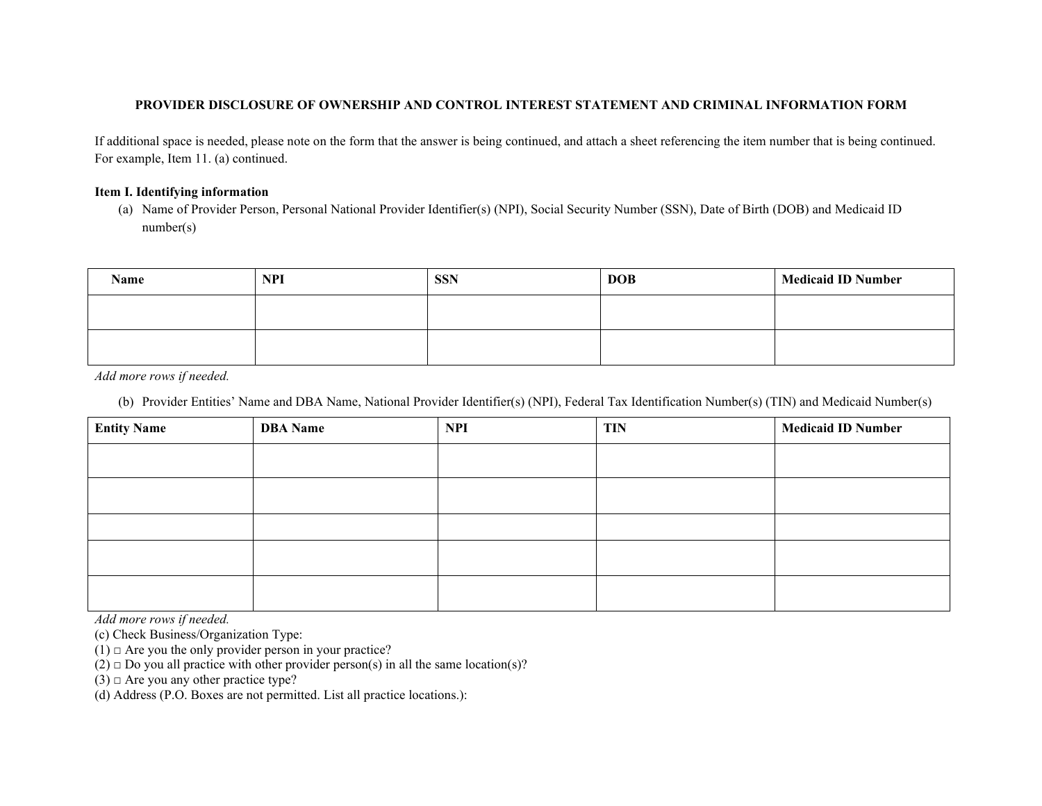# **PROVIDER DISCLOSURE OF OWNERSHIP AND CONTROL INTEREST STATEMENT AND CRIMINAL INFORMATION FORM**

If additional space is needed, please note on the form that the answer is being continued, and attach a sheet referencing the item number that is being continued. For example, Item 11. (a) continued.

# **Item I. Identifying information**

(a) Name of Provider Person, Personal National Provider Identifier(s) (NPI), Social Security Number (SSN), Date of Birth (DOB) and Medicaid ID number(s)

| Name | <b>NPI</b> | <b>SSN</b> | <b>DOB</b> | <b>Medicaid ID Number</b> |
|------|------------|------------|------------|---------------------------|
|      |            |            |            |                           |
|      |            |            |            |                           |

*Add more rows if needed.* 

(b) Provider Entities' Name and DBA Name, National Provider Identifier(s) (NPI), Federal Tax Identification Number(s) (TIN) and Medicaid Number(s)

| <b>Entity Name</b> | <b>DBA</b> Name | <b>NPI</b> | <b>TIN</b> | <b>Medicaid ID Number</b> |
|--------------------|-----------------|------------|------------|---------------------------|
|                    |                 |            |            |                           |
|                    |                 |            |            |                           |
|                    |                 |            |            |                           |
|                    |                 |            |            |                           |
|                    |                 |            |            |                           |

*Add more rows if needed.* 

(c) Check Business/Organization Type:

 $(1)$   $\Box$  Are you the only provider person in your practice?

 $(2)$   $\Box$  Do you all practice with other provider person(s) in all the same location(s)?

 $(3)$   $\Box$  Are you any other practice type?

(d) Address (P.O. Boxes are not permitted. List all practice locations.):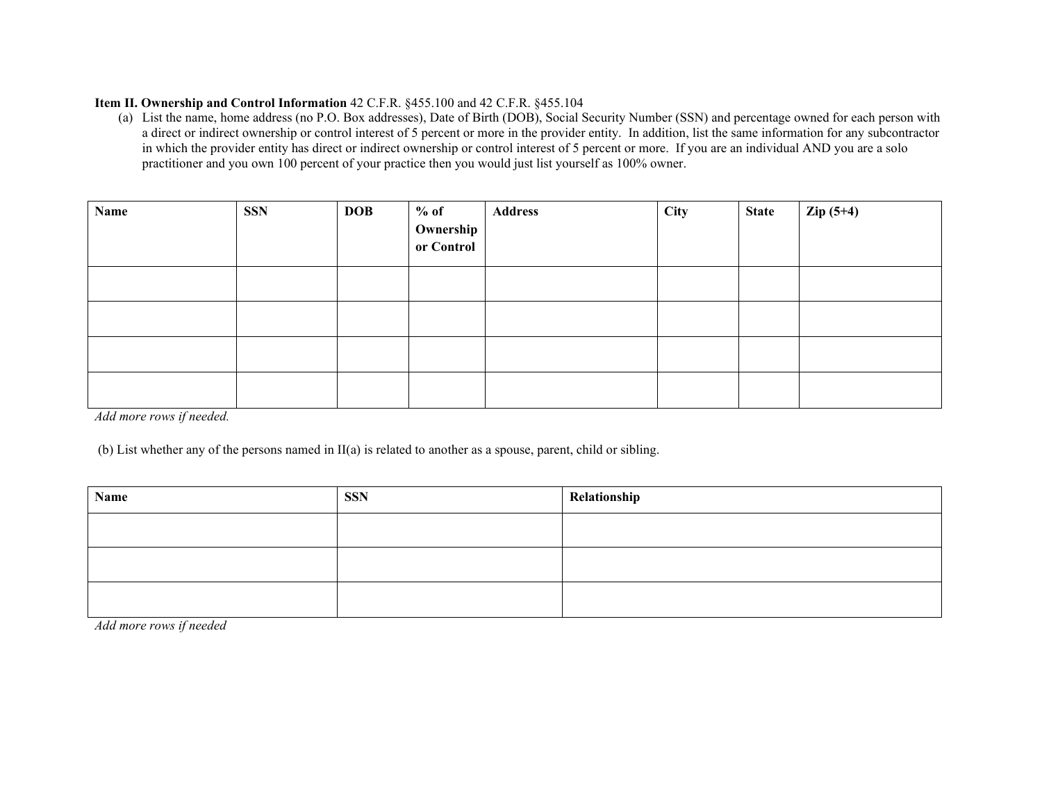# **Item II. Ownership and Control Information** 42 C.F.R. §455.100 and 42 C.F.R. §455.104

(a) List the name, home address (no P.O. Box addresses), Date of Birth (DOB), Social Security Number (SSN) and percentage owned for each person with a direct or indirect ownership or control interest of 5 percent or more in the provider entity. In addition, list the same information for any subcontractor in which the provider entity has direct or indirect ownership or control interest of 5 percent or more. If you are an individual AND you are a solo practitioner and you own 100 percent of your practice then you would just list yourself as 100% owner.

| Name                                             | <b>SSN</b> | <b>DOB</b> | $%$ of<br>Ownership<br>or Control | <b>Address</b> | City | <b>State</b> | $Zip(5+4)$ |
|--------------------------------------------------|------------|------------|-----------------------------------|----------------|------|--------------|------------|
|                                                  |            |            |                                   |                |      |              |            |
|                                                  |            |            |                                   |                |      |              |            |
|                                                  |            |            |                                   |                |      |              |            |
| $\cdot c$ $\cdot$ $\cdot$ $\cdot$ $\cdot$<br>111 |            |            |                                   |                |      |              |            |

*Add more rows if needed.* 

(b) List whether any of the persons named in II(a) is related to another as a spouse, parent, child or sibling.

| Relationship |
|--------------|
|              |
|              |
|              |
|              |

*Add more rows if needed*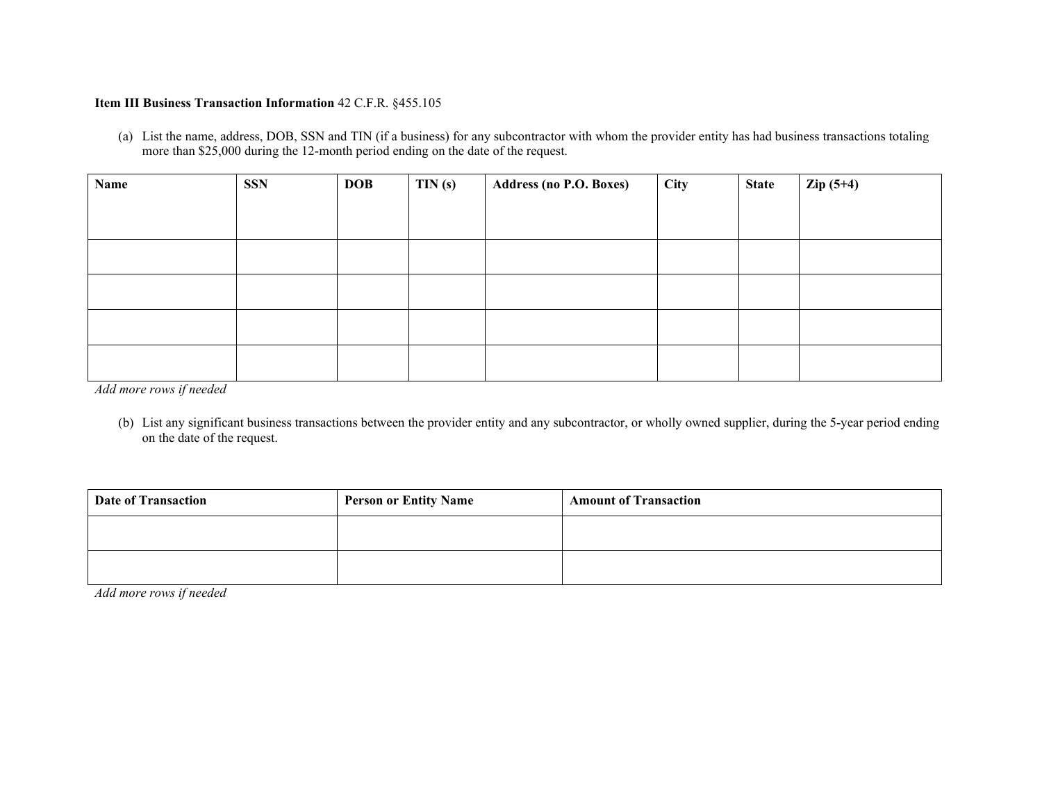# **Item III Business Transaction Information** 42 C.F.R. §455.105

(a) List the name, address, DOB, SSN and TIN (if a business) for any subcontractor with whom the provider entity has had business transactions totaling more than \$25,000 during the 12-month period ending on the date of the request.

| Name | <b>SSN</b> | <b>DOB</b> | TIN(s) | <b>Address (no P.O. Boxes)</b> | City | <b>State</b> | $\text{Zip } (5+4)$ |
|------|------------|------------|--------|--------------------------------|------|--------------|---------------------|
|      |            |            |        |                                |      |              |                     |
|      |            |            |        |                                |      |              |                     |
|      |            |            |        |                                |      |              |                     |
|      |            |            |        |                                |      |              |                     |
|      |            |            |        |                                |      |              |                     |
|      |            |            |        |                                |      |              |                     |
|      |            |            |        |                                |      |              |                     |
|      |            |            |        |                                |      |              |                     |
|      |            |            |        |                                |      |              |                     |
|      |            |            |        |                                |      |              |                     |

*Add more rows if needed* 

(b) List any significant business transactions between the provider entity and any subcontractor, or wholly owned supplier, during the 5-year period ending on the date of the request.

| <b>Date of Transaction</b> | <b>Person or Entity Name</b> | <b>Amount of Transaction</b> |
|----------------------------|------------------------------|------------------------------|
|                            |                              |                              |
|                            |                              |                              |

*Add more rows if needed*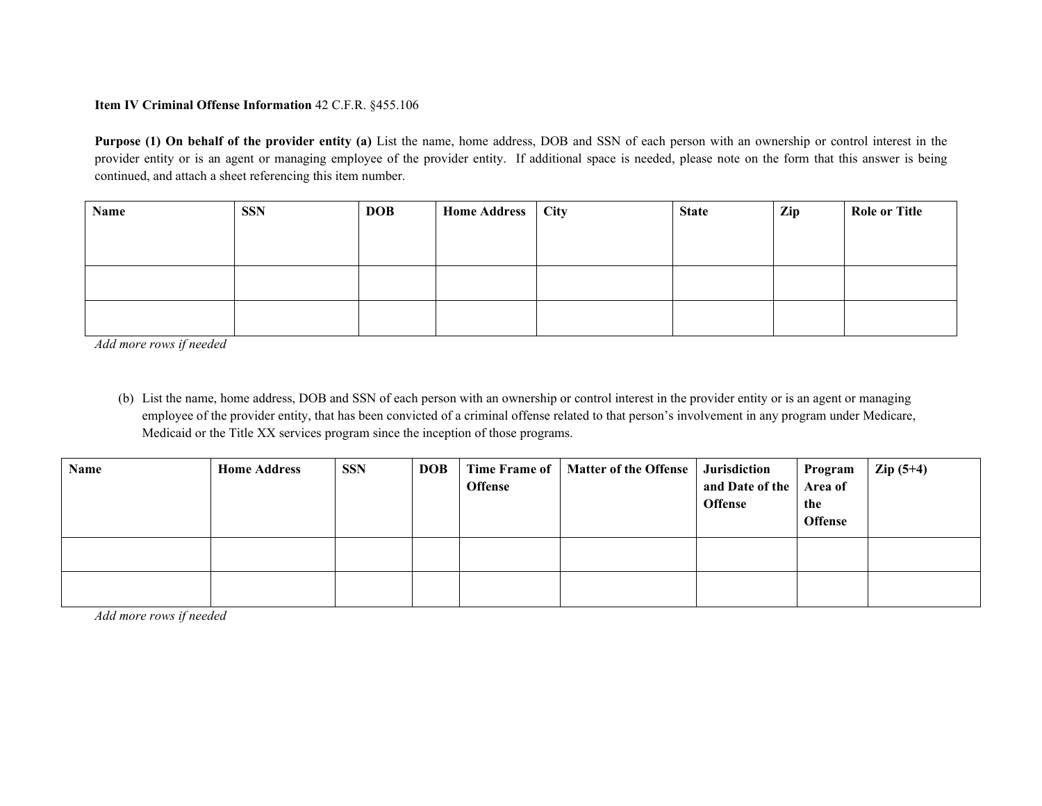# **Item IV Criminal Offense Information** 42 C.F.R. §455.106

**Purpose (1) On behalf of the provider entity (a)** List the name, home address, DOB and SSN of each person with an ownership or control interest in the provider entity or is an agent or managing employee of the provider entity. If additional space is needed, please note on the form that this answer is being continued, and attach a sheet referencing this item number.

| Name | <b>SSN</b> | <b>DOB</b> | Home Address   City | <b>State</b> | Zip | <b>Role or Title</b> |
|------|------------|------------|---------------------|--------------|-----|----------------------|
|      |            |            |                     |              |     |                      |
|      |            |            |                     |              |     |                      |
|      |            |            |                     |              |     |                      |
|      |            |            |                     |              |     |                      |
|      |            |            |                     |              |     |                      |
|      |            |            |                     |              |     |                      |

*Add more rows if needed* 

(b) List the name, home address, DOB and SSN of each person with an ownership or control interest in the provider entity or is an agent or managing employee of the provider entity, that has been convicted of a criminal offense related to that person's involvement in any program under Medicare, Medicaid or the Title XX services program since the inception of those programs.

| Name | <b>Home Address</b> | <b>SSN</b> | <b>DOB</b> | <b>Time Frame of</b><br><b>Offense</b> | Matter of the Offense   Jurisdiction | and Date of the   Area of<br><b>Offense</b> | Program<br>the<br><b>Offense</b> | $\text{Zip } (5+4)$ |
|------|---------------------|------------|------------|----------------------------------------|--------------------------------------|---------------------------------------------|----------------------------------|---------------------|
|      |                     |            |            |                                        |                                      |                                             |                                  |                     |
|      |                     |            |            |                                        |                                      |                                             |                                  |                     |

*Add more rows if needed*